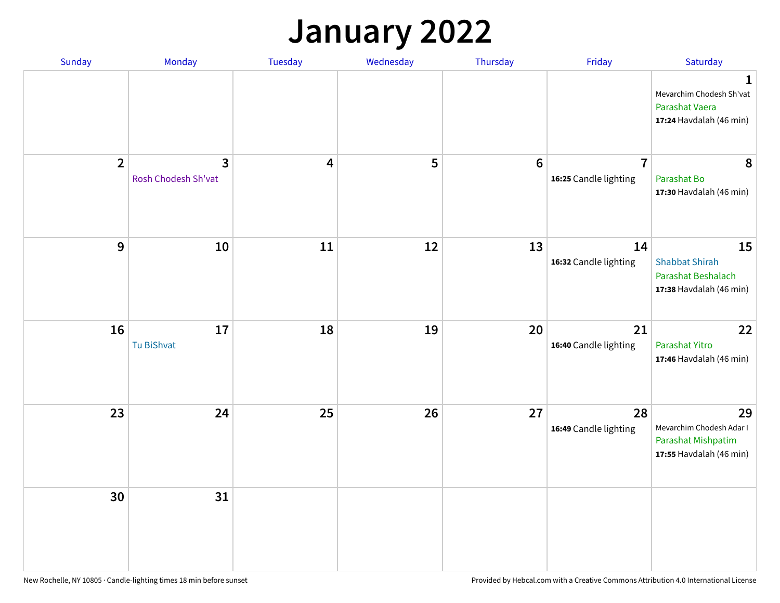## **January 2022**

|                                                                                 | Friday                | Thursday         | Wednesday | Tuesday                 | Monday                                | Sunday         |
|---------------------------------------------------------------------------------|-----------------------|------------------|-----------|-------------------------|---------------------------------------|----------------|
| Mevarchim Chodesh Sh'vat<br>Parashat Vaera<br>17:24 Havdalah (46 min)           |                       |                  |           |                         |                                       |                |
| $\overline{7}$<br>Parashat Bo<br>17:30 Havdalah (46 min)                        | 16:25 Candle lighting | $\boldsymbol{6}$ | 5         | $\overline{\mathbf{4}}$ | $\overline{3}$<br>Rosh Chodesh Sh'vat | $\overline{2}$ |
| 14<br><b>Shabbat Shirah</b><br>Parashat Beshalach<br>17:38 Havdalah (46 min)    | 16:32 Candle lighting | 13               | 12        | 11                      | 10                                    | $9$            |
| 21<br>Parashat Yitro<br>17:46 Havdalah (46 min)                                 | 16:40 Candle lighting | 20               | 19        | 18                      | 17<br>Tu BiShvat                      | 16             |
| 28<br>Mevarchim Chodesh Adar I<br>Parashat Mishpatim<br>17:55 Havdalah (46 min) | 16:49 Candle lighting | 27               | 26        | 25                      | 24                                    | 23             |
|                                                                                 |                       |                  |           |                         | 31                                    | 30             |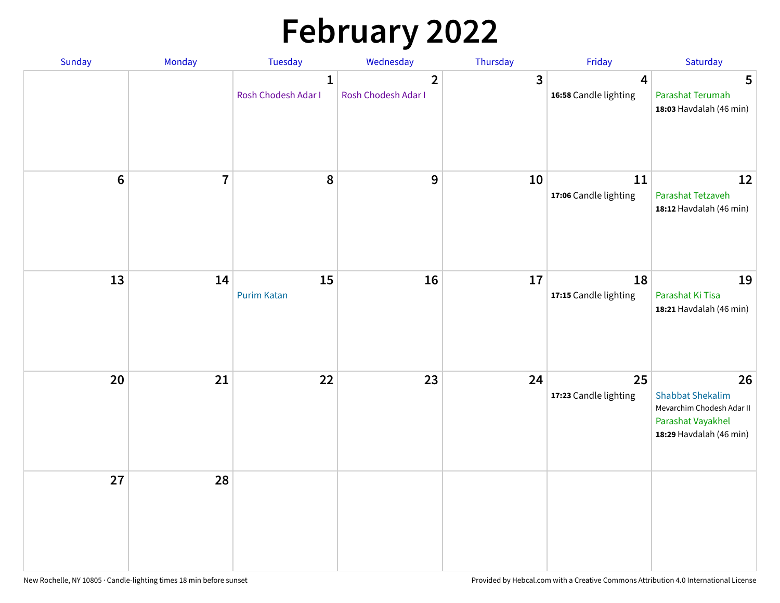# **February 2022**

| Sunday | Monday                  | <b>Tuesday</b>                      | Wednesday                           | Thursday     | Friday                      | Saturday                                                                                                   |
|--------|-------------------------|-------------------------------------|-------------------------------------|--------------|-----------------------------|------------------------------------------------------------------------------------------------------------|
|        |                         | $\mathbf{1}$<br>Rosh Chodesh Adar I | $\mathbf{2}$<br>Rosh Chodesh Adar I | $\mathbf{3}$ | 4<br>16:58 Candle lighting  | 5<br>Parashat Terumah<br>18:03 Havdalah (46 min)                                                           |
| $6\,$  | $\overline{\mathbf{7}}$ | 8                                   | 9                                   | 10           | 11<br>17:06 Candle lighting | 12<br>Parashat Tetzaveh<br>18:12 Havdalah (46 min)                                                         |
| 13     | 14                      | 15<br><b>Purim Katan</b>            | 16                                  | 17           | 18<br>17:15 Candle lighting | 19<br>Parashat Ki Tisa<br>18:21 Havdalah (46 min)                                                          |
| 20     | 21                      | 22                                  | 23                                  | 24           | 25<br>17:23 Candle lighting | 26<br><b>Shabbat Shekalim</b><br>Mevarchim Chodesh Adar II<br>Parashat Vayakhel<br>18:29 Havdalah (46 min) |
| 27     | 28                      |                                     |                                     |              |                             |                                                                                                            |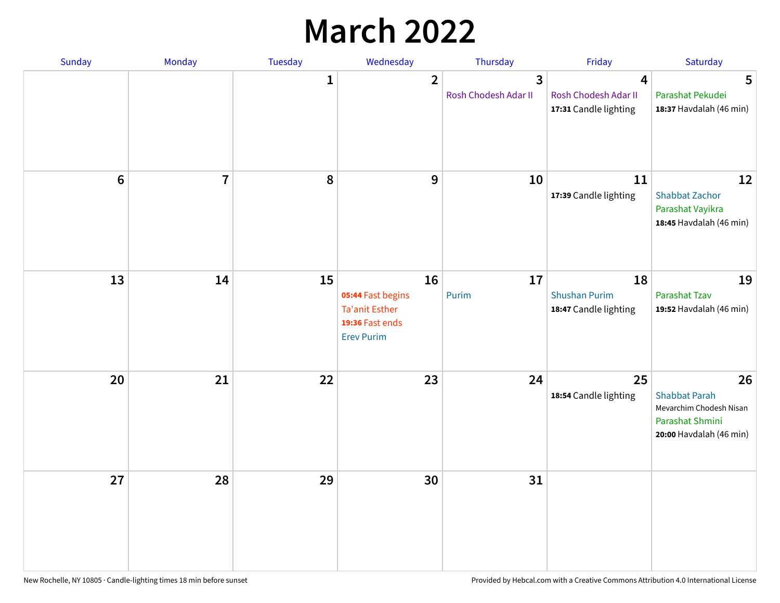## **March 2022**

| Sunday  | <b>Monday</b>  | Tuesday      | Wednesday                                                                                | Thursday                  | Friday                                              | Saturday                                                                                            |
|---------|----------------|--------------|------------------------------------------------------------------------------------------|---------------------------|-----------------------------------------------------|-----------------------------------------------------------------------------------------------------|
|         |                | $\mathbf{1}$ | $\overline{2}$                                                                           | 3<br>Rosh Chodesh Adar II | 4<br>Rosh Chodesh Adar II<br>17:31 Candle lighting  | 5<br>Parashat Pekudei<br>18:37 Havdalah (46 min)                                                    |
| $\bf 6$ | $\overline{7}$ | 8            | 9                                                                                        | 10                        | 11<br>17:39 Candle lighting                         | 12<br><b>Shabbat Zachor</b><br>Parashat Vayikra<br>18:45 Havdalah (46 min)                          |
| 13      | 14             | 15           | 16<br>05:44 Fast begins<br><b>Ta'anit Esther</b><br>19:36 Fast ends<br><b>Erev Purim</b> | 17<br>Purim               | 18<br><b>Shushan Purim</b><br>18:47 Candle lighting | 19<br><b>Parashat Tzav</b><br>19:52 Havdalah (46 min)                                               |
| 20      | 21             | 22           | 23                                                                                       | 24                        | 25<br>18:54 Candle lighting                         | 26<br><b>Shabbat Parah</b><br>Mevarchim Chodesh Nisan<br>Parashat Shmini<br>20:00 Havdalah (46 min) |
| 27      | 28             | 29           | 30                                                                                       | 31                        |                                                     |                                                                                                     |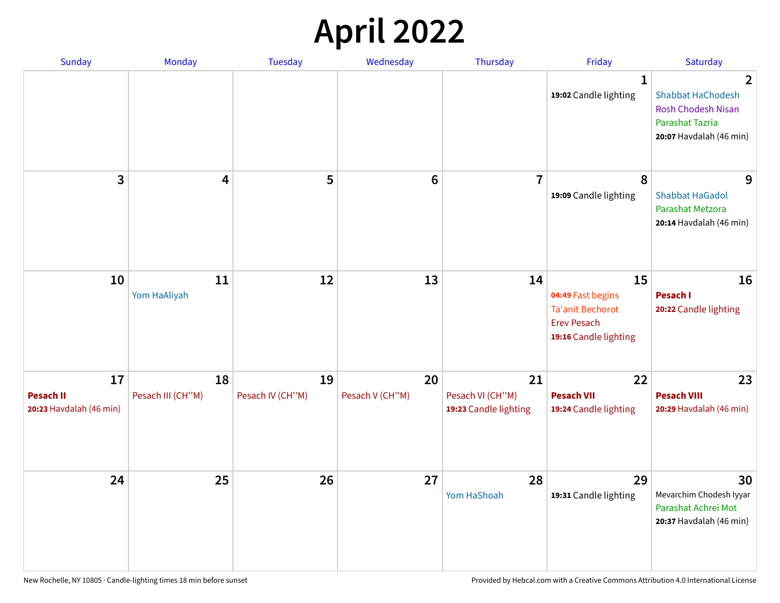## **April 2022**

| <b>Sunday</b>                                     | <b>Monday</b>           | <b>Tuesday</b>         | Wednesday             | Thursday                                        | Friday                                                                                            | Saturday                                                                                                                     |
|---------------------------------------------------|-------------------------|------------------------|-----------------------|-------------------------------------------------|---------------------------------------------------------------------------------------------------|------------------------------------------------------------------------------------------------------------------------------|
|                                                   |                         |                        |                       |                                                 | 1<br>19:02 Candle lighting                                                                        | $\overline{2}$<br><b>Shabbat HaChodesh</b><br><b>Rosh Chodesh Nisan</b><br><b>Parashat Tazria</b><br>20:07 Havdalah (46 min) |
| 3                                                 | 4                       | 5                      | 6                     | $\overline{7}$                                  | 8<br>19:09 Candle lighting                                                                        | 9<br><b>Shabbat HaGadol</b><br>Parashat Metzora<br>20:14 Havdalah (46 min)                                                   |
| 10                                                | 11<br>Yom HaAliyah      | 12                     | 13                    | 14                                              | 15<br>04:49 Fast begins<br><b>Ta'anit Bechorot</b><br><b>Erev Pesach</b><br>19:16 Candle lighting | 16<br>Pesach I<br>20:22 Candle lighting                                                                                      |
| 17<br><b>Pesach II</b><br>20:23 Havdalah (46 min) | 18<br>Pesach III (CH"M) | 19<br>Pesach IV (CH"M) | 20<br>Pesach V (CH"M) | 21<br>Pesach VI (CH"M)<br>19:23 Candle lighting | 22<br><b>Pesach VII</b><br>19:24 Candle lighting                                                  | 23<br><b>Pesach VIII</b><br>20:29 Havdalah (46 min)                                                                          |
| 24                                                | 25                      | 26                     | 27                    | 28<br>Yom HaShoah                               | 29<br>19:31 Candle lighting                                                                       | 30<br>Mevarchim Chodesh Iyyar<br>Parashat Achrei Mot<br>20:37 Havdalah (46 min)                                              |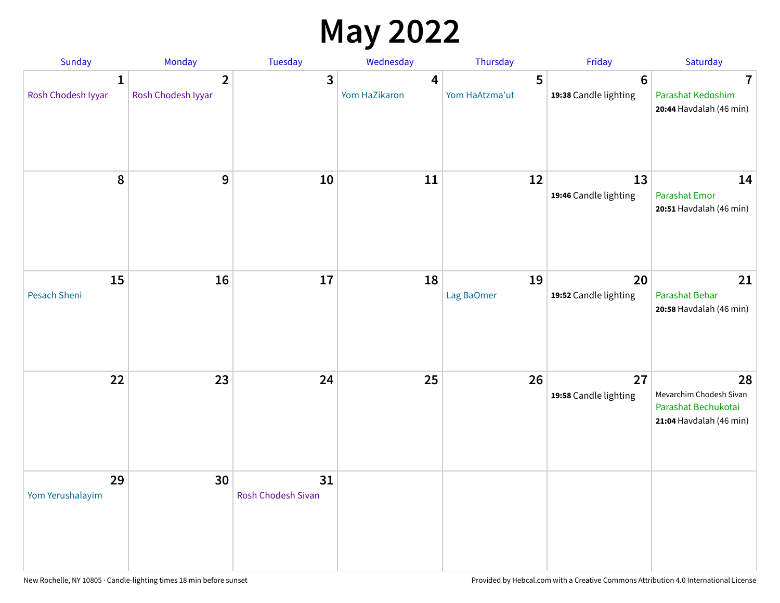## **May 2022**

| Sunday                  | Monday                               | <b>Tuesday</b>                  | Wednesday          | Thursday            | Friday                                   | Saturday                                                                        |
|-------------------------|--------------------------------------|---------------------------------|--------------------|---------------------|------------------------------------------|---------------------------------------------------------------------------------|
| 1<br>Rosh Chodesh Iyyar | $\overline{2}$<br>Rosh Chodesh Iyyar | 3                               | 4<br>Yom HaZikaron | 5<br>Yom HaAtzma'ut | $6\phantom{1}6$<br>19:38 Candle lighting | 7<br>Parashat Kedoshim<br>20:44 Havdalah (46 min)                               |
| 8                       | 9                                    | 10                              | 11                 | 12                  | 13<br>19:46 Candle lighting              | 14<br><b>Parashat Emor</b><br>20:51 Havdalah (46 min)                           |
| 15<br>Pesach Sheni      | 16                                   | 17                              | 18                 | 19<br>Lag BaOmer    | 20<br>19:52 Candle lighting              | 21<br>Parashat Behar<br>20:58 Havdalah (46 min)                                 |
| 22                      | 23                                   | 24                              | 25                 | 26                  | 27<br>19:58 Candle lighting              | 28<br>Mevarchim Chodesh Sivan<br>Parashat Bechukotai<br>21:04 Havdalah (46 min) |
| 29<br>Yom Yerushalayim  | 30                                   | 31<br><b>Rosh Chodesh Sivan</b> |                    |                     |                                          |                                                                                 |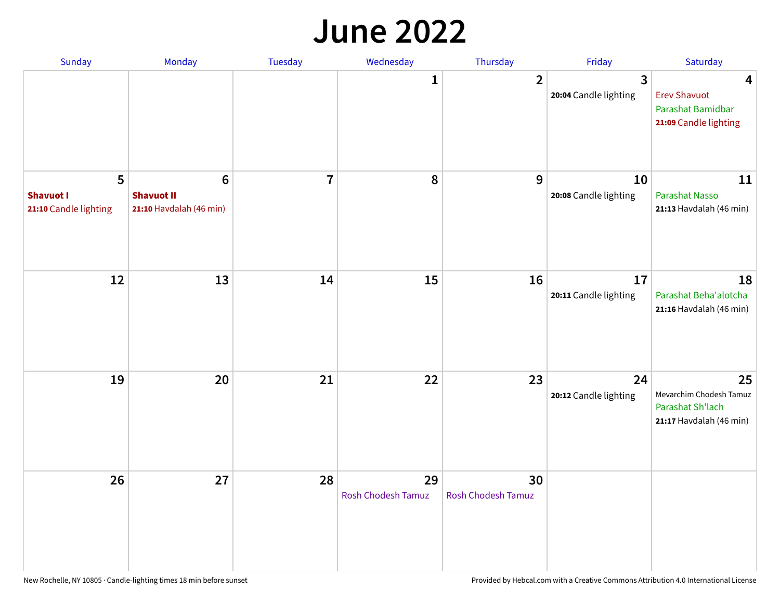#### **June 2022**

| Sunday                                         | Monday                                            | <b>Tuesday</b> | Wednesday                | Thursday                        | Friday                                           | Saturday                                                                     |
|------------------------------------------------|---------------------------------------------------|----------------|--------------------------|---------------------------------|--------------------------------------------------|------------------------------------------------------------------------------|
|                                                |                                                   |                | 1                        | $\overline{2}$                  | $\overline{\mathbf{3}}$<br>20:04 Candle lighting | 4<br><b>Erev Shavuot</b><br>Parashat Bamidbar<br>21:09 Candle lighting       |
| 5<br><b>Shavuot I</b><br>21:10 Candle lighting | 6<br><b>Shavuot II</b><br>21:10 Havdalah (46 min) | $\overline{7}$ | ${\bf 8}$                | 9                               | 10<br>20:08 Candle lighting                      | 11<br>Parashat Nasso<br>21:13 Havdalah (46 min)                              |
| 12                                             | 13                                                | 14             | 15                       | 16                              | 17<br>20:11 Candle lighting                      | 18<br>Parashat Beha'alotcha<br>21:16 Havdalah (46 min)                       |
| 19                                             | 20                                                | 21             | 22                       | 23                              | 24<br>20:12 Candle lighting                      | 25<br>Mevarchim Chodesh Tamuz<br>Parashat Sh'lach<br>21:17 Havdalah (46 min) |
| 26                                             | 27                                                | 28             | 29<br>Rosh Chodesh Tamuz | 30<br><b>Rosh Chodesh Tamuz</b> |                                                  |                                                                              |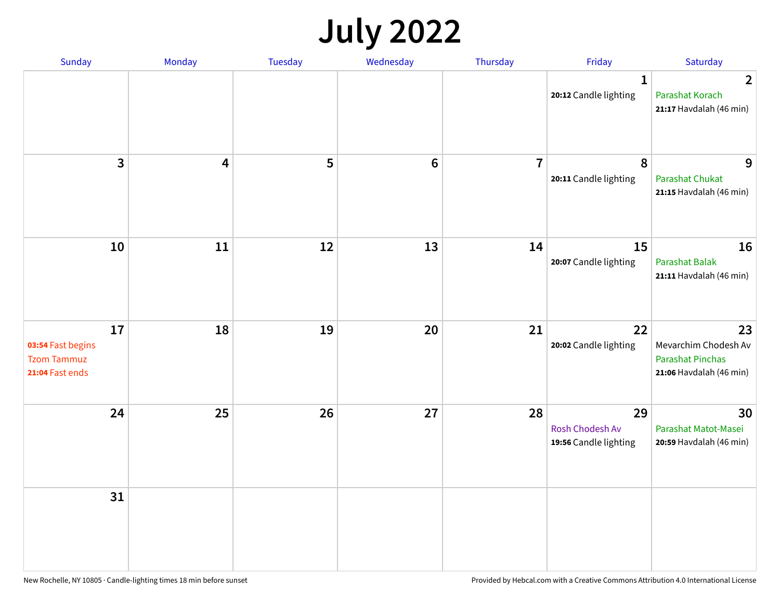## **July 2022**

| Sunday                                                           | Monday | Tuesday | Wednesday | Thursday       | Friday                                         | Saturday                                                                         |
|------------------------------------------------------------------|--------|---------|-----------|----------------|------------------------------------------------|----------------------------------------------------------------------------------|
|                                                                  |        |         |           |                | $\mathbf{1}$<br>20:12 Candle lighting          | $\overline{2}$<br>Parashat Korach<br>21:17 Havdalah (46 min)                     |
| $\overline{\mathbf{3}}$                                          | 4      | 5       | $\bf 6$   | $\overline{7}$ | 8<br>20:11 Candle lighting                     | 9<br><b>Parashat Chukat</b><br>21:15 Havdalah (46 min)                           |
| 10                                                               | 11     | 12      | 13        | 14             | 15<br>20:07 Candle lighting                    | 16<br><b>Parashat Balak</b><br>21:11 Havdalah (46 min)                           |
| 17<br>03:54 Fast begins<br><b>Tzom Tammuz</b><br>21:04 Fast ends | 18     | 19      | 20        | 21             | 22<br>20:02 Candle lighting                    | 23<br>Mevarchim Chodesh Av<br><b>Parashat Pinchas</b><br>21:06 Havdalah (46 min) |
| 24                                                               | 25     | 26      | 27        | 28             | 29<br>Rosh Chodesh Av<br>19:56 Candle lighting | 30<br>Parashat Matot-Masei<br>20:59 Havdalah (46 min)                            |
| 31                                                               |        |         |           |                |                                                |                                                                                  |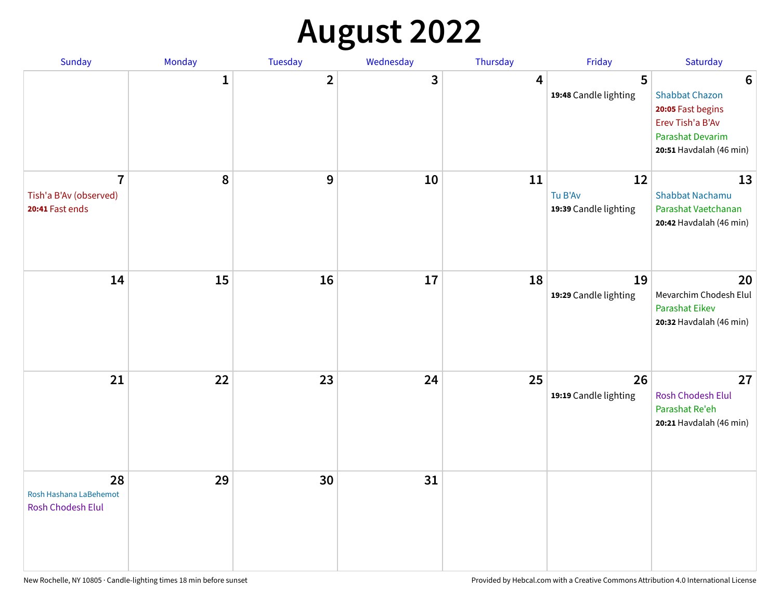# **August 2022**

| Sunday                                                      | Monday       | Tuesday                 | Wednesday | Thursday | Friday                                 | Saturday                                                                                                                                |
|-------------------------------------------------------------|--------------|-------------------------|-----------|----------|----------------------------------------|-----------------------------------------------------------------------------------------------------------------------------------------|
|                                                             | $\mathbf{1}$ | $\overline{\mathbf{2}}$ | 3         | 4        | 5<br>19:48 Candle lighting             | $6\phantom{1}6$<br><b>Shabbat Chazon</b><br>20:05 Fast begins<br>Erev Tish'a B'Av<br><b>Parashat Devarim</b><br>20:51 Havdalah (46 min) |
| $\overline{1}$<br>Tish'a B'Av (observed)<br>20:41 Fast ends | 8            | 9                       | 10        | 11       | 12<br>Tu B'Av<br>19:39 Candle lighting | 13<br><b>Shabbat Nachamu</b><br>Parashat Vaetchanan<br>20:42 Havdalah (46 min)                                                          |
| 14                                                          | 15           | 16                      | 17        | 18       | 19<br>19:29 Candle lighting            | 20<br>Mevarchim Chodesh Elul<br><b>Parashat Eikev</b><br>20:32 Havdalah (46 min)                                                        |
| 21                                                          | 22           | 23                      | 24        | 25       | 26<br>19:19 Candle lighting            | 27<br><b>Rosh Chodesh Elul</b><br>Parashat Re'eh<br>20:21 Havdalah (46 min)                                                             |
| 28<br>Rosh Hashana LaBehemot<br>Rosh Chodesh Elul           | 29           | 30                      | 31        |          |                                        |                                                                                                                                         |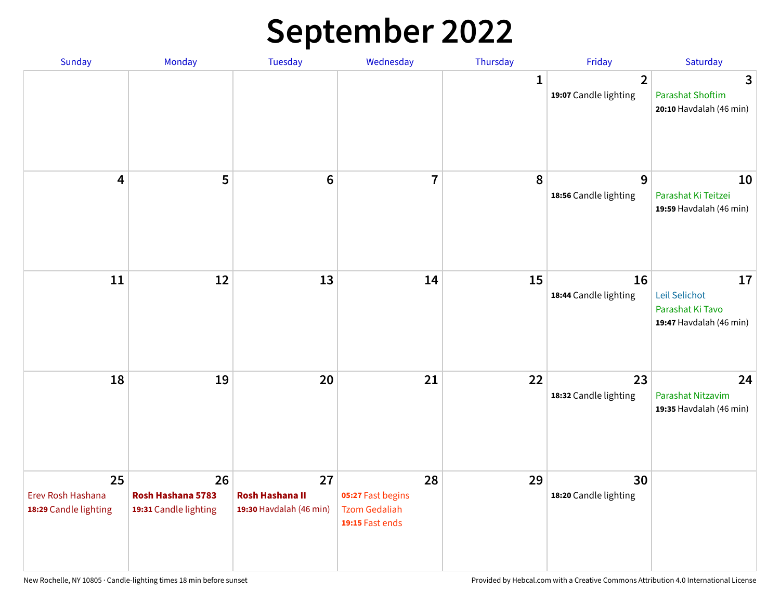## **September 2022**

| Sunday                                           | Monday                                           | Tuesday                                                 | Wednesday                                                          | Thursday    | Friday                                  | Saturday                                                           |
|--------------------------------------------------|--------------------------------------------------|---------------------------------------------------------|--------------------------------------------------------------------|-------------|-----------------------------------------|--------------------------------------------------------------------|
|                                                  |                                                  |                                                         |                                                                    | $\mathbf 1$ | $\overline{2}$<br>19:07 Candle lighting | 3<br><b>Parashat Shoftim</b><br>20:10 Havdalah (46 min)            |
| 4                                                | 5                                                | $6\phantom{1}6$                                         | $\overline{7}$                                                     | 8           | 9<br>18:56 Candle lighting              | 10<br>Parashat Ki Teitzei<br>19:59 Havdalah (46 min)               |
| 11                                               | 12                                               | 13                                                      | 14                                                                 | 15          | 16<br>18:44 Candle lighting             | 17<br>Leil Selichot<br>Parashat Ki Tavo<br>19:47 Havdalah (46 min) |
| 18                                               | 19                                               | 20                                                      | 21                                                                 | 22          | 23<br>18:32 Candle lighting             | 24<br>Parashat Nitzavim<br>19:35 Havdalah (46 min)                 |
| 25<br>Erev Rosh Hashana<br>18:29 Candle lighting | 26<br>Rosh Hashana 5783<br>19:31 Candle lighting | 27<br><b>Rosh Hashana II</b><br>19:30 Havdalah (46 min) | 28<br>05:27 Fast begins<br><b>Tzom Gedaliah</b><br>19:15 Fast ends | 29          | 30<br>18:20 Candle lighting             |                                                                    |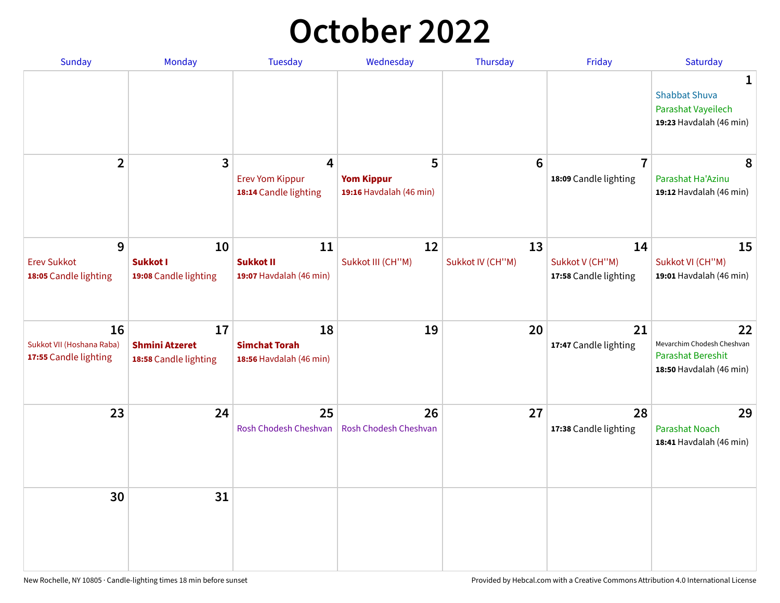## **October 2022**

| Sunday                                                   | <b>Monday</b>                                        | <b>Tuesday</b>                                        | Wednesday                                         | Thursday               | Friday                                         | Saturday                                                                         |
|----------------------------------------------------------|------------------------------------------------------|-------------------------------------------------------|---------------------------------------------------|------------------------|------------------------------------------------|----------------------------------------------------------------------------------|
|                                                          |                                                      |                                                       |                                                   |                        |                                                | 1<br><b>Shabbat Shuva</b><br>Parashat Vayeilech<br>19:23 Havdalah (46 min)       |
| $\overline{2}$                                           | $\overline{\mathbf{3}}$                              | 4<br><b>Erev Yom Kippur</b><br>18:14 Candle lighting  | 5<br><b>Yom Kippur</b><br>19:16 Havdalah (46 min) | $6\phantom{1}6$        | $\overline{7}$<br>18:09 Candle lighting        | 8<br>Parashat Ha'Azinu<br>19:12 Havdalah (46 min)                                |
| 9<br><b>Erev Sukkot</b><br>18:05 Candle lighting         | 10<br><b>Sukkot I</b><br>19:08 Candle lighting       | 11<br><b>Sukkot II</b><br>19:07 Havdalah (46 min)     | 12<br>Sukkot III (CH"M)                           | 13<br>Sukkot IV (CH"M) | 14<br>Sukkot V (CH"M)<br>17:58 Candle lighting | 15<br>Sukkot VI (CH"M)<br>19:01 Havdalah (46 min)                                |
| 16<br>Sukkot VII (Hoshana Raba)<br>17:55 Candle lighting | 17<br><b>Shmini Atzeret</b><br>18:58 Candle lighting | 18<br><b>Simchat Torah</b><br>18:56 Havdalah (46 min) | 19                                                | 20                     | 21<br>17:47 Candle lighting                    | 22<br>Mevarchim Chodesh Cheshvan<br>Parashat Bereshit<br>18:50 Havdalah (46 min) |
| 23                                                       | 24                                                   | 25<br>Rosh Chodesh Cheshvan                           | 26<br>Rosh Chodesh Cheshvan                       | 27                     | 28<br>17:38 Candle lighting                    | 29<br><b>Parashat Noach</b><br>18:41 Havdalah (46 min)                           |
| 30                                                       | 31                                                   |                                                       |                                                   |                        |                                                |                                                                                  |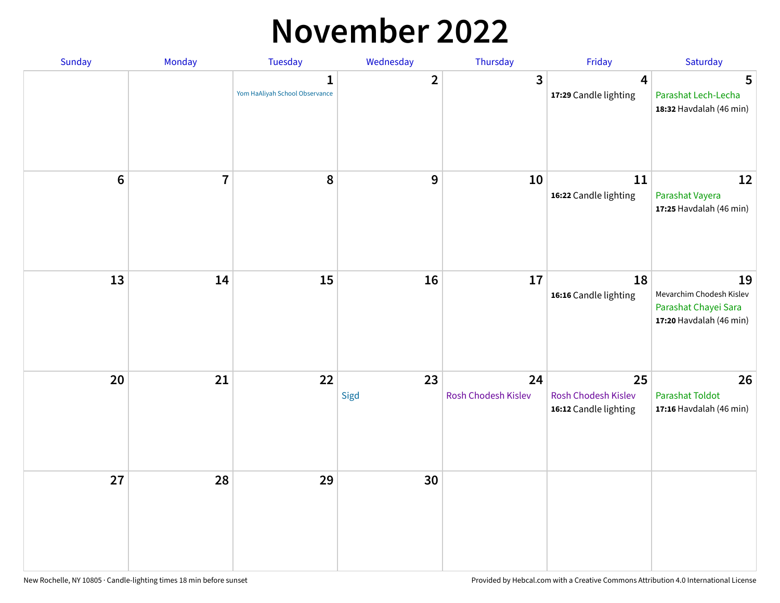#### **November 2022**

| Sunday         | Monday         | Tuesday                             | Wednesday      | Thursday                  | Friday                                             | Saturday                                                                          |
|----------------|----------------|-------------------------------------|----------------|---------------------------|----------------------------------------------------|-----------------------------------------------------------------------------------|
|                |                | 1<br>Yom HaAliyah School Observance | $\overline{2}$ | $\mathbf{3}$              | 4<br>17:29 Candle lighting                         | 5<br>Parashat Lech-Lecha<br>18:32 Havdalah (46 min)                               |
| $6\phantom{a}$ | $\overline{7}$ | 8                                   | 9              | 10                        | 11<br>16:22 Candle lighting                        | 12<br>Parashat Vayera<br>17:25 Havdalah (46 min)                                  |
| 13             | 14             | 15                                  | 16             | 17                        | 18<br>16:16 Candle lighting                        | 19<br>Mevarchim Chodesh Kislev<br>Parashat Chayei Sara<br>17:20 Havdalah (46 min) |
| 20             | 21             | 22                                  | 23<br>Sigd     | 24<br>Rosh Chodesh Kislev | 25<br>Rosh Chodesh Kislev<br>16:12 Candle lighting | 26<br><b>Parashat Toldot</b><br>17:16 Havdalah (46 min)                           |
| 27             | 28             | 29                                  | 30             |                           |                                                    |                                                                                   |